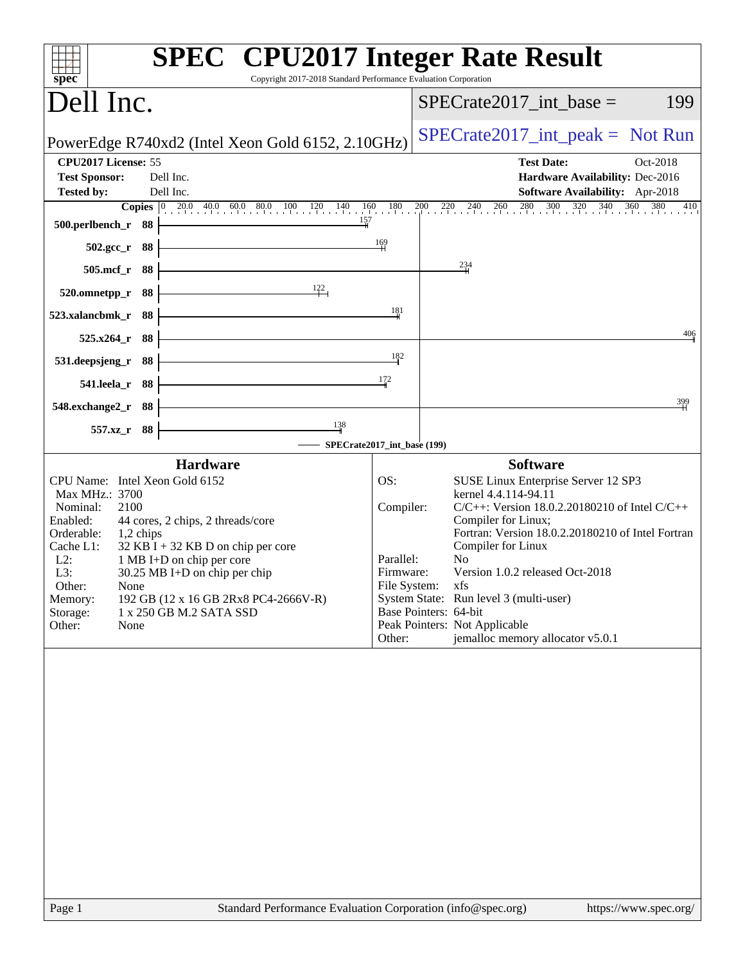| Copyright 2017-2018 Standard Performance Evaluation Corporation<br>spec <sup>®</sup>                                                                                                                                                                                                                                                                                                                               | <b>SPEC<sup>®</sup></b> CPU2017 Integer Rate Result                                                                                                                                                                                                                                                                                                                                                                                                                              |
|--------------------------------------------------------------------------------------------------------------------------------------------------------------------------------------------------------------------------------------------------------------------------------------------------------------------------------------------------------------------------------------------------------------------|----------------------------------------------------------------------------------------------------------------------------------------------------------------------------------------------------------------------------------------------------------------------------------------------------------------------------------------------------------------------------------------------------------------------------------------------------------------------------------|
| Dell Inc.                                                                                                                                                                                                                                                                                                                                                                                                          | $SPECrate2017\_int\_base =$<br>199                                                                                                                                                                                                                                                                                                                                                                                                                                               |
| PowerEdge R740xd2 (Intel Xeon Gold 6152, 2.10GHz)                                                                                                                                                                                                                                                                                                                                                                  | $SPECrate2017\_int\_peak = Not Run$                                                                                                                                                                                                                                                                                                                                                                                                                                              |
| CPU2017 License: 55<br>Dell Inc.<br><b>Test Sponsor:</b><br>Dell Inc.<br><b>Tested by:</b><br>157<br>500.perlbench_r 88                                                                                                                                                                                                                                                                                            | <b>Test Date:</b><br>Oct-2018<br>Hardware Availability: Dec-2016<br>Software Availability: Apr-2018<br><b>Copies</b> 0 20.0 40.0 60.0 80.0 100 120 140 160 180 200 220 240 260 280 300 320 340 360 380 410                                                                                                                                                                                                                                                                       |
| <u> 1989 - Johann Stoff, Amerikaansk politiker (</u><br>$502.\text{gcc}_r$ 88                                                                                                                                                                                                                                                                                                                                      | $\frac{169}{1}$                                                                                                                                                                                                                                                                                                                                                                                                                                                                  |
| <u> 1980 - Johann Barn, mars ann an t-Amhain Aonaich an t-Aonaich an t-Aonaich ann an t-Aonaich ann an t-Aonaich</u><br>505.mcf_r 88<br>$\frac{122}{1}$<br>520.omnetpp_r 88                                                                                                                                                                                                                                        | $\frac{234}{4}$                                                                                                                                                                                                                                                                                                                                                                                                                                                                  |
| <u> 1980 - Johann Barn, mars ann an t-Amhain Aonaich an t-Aonaich an t-Aonaich ann an t-Aonaich ann an t-Aonaich</u><br>523.xalancbmk_r 88                                                                                                                                                                                                                                                                         | 181                                                                                                                                                                                                                                                                                                                                                                                                                                                                              |
| $525.x264_r$ 88                                                                                                                                                                                                                                                                                                                                                                                                    | 406                                                                                                                                                                                                                                                                                                                                                                                                                                                                              |
| <u> 1989 - Johann Barbara, martxa alemaniar a</u><br>531.deepsjeng_r 88                                                                                                                                                                                                                                                                                                                                            | 182<br>172                                                                                                                                                                                                                                                                                                                                                                                                                                                                       |
| 541.leela_r 88<br>548.exchange2_r 88                                                                                                                                                                                                                                                                                                                                                                               | 399                                                                                                                                                                                                                                                                                                                                                                                                                                                                              |
| $\frac{138}{4}$<br>557.xz_r 88                                                                                                                                                                                                                                                                                                                                                                                     |                                                                                                                                                                                                                                                                                                                                                                                                                                                                                  |
| <b>Hardware</b>                                                                                                                                                                                                                                                                                                                                                                                                    | SPECrate2017_int_base (199)<br><b>Software</b>                                                                                                                                                                                                                                                                                                                                                                                                                                   |
| CPU Name: Intel Xeon Gold 6152<br>Max MHz.: 3700<br>Nominal:<br>2100<br>44 cores, 2 chips, 2 threads/core<br>Enabled:<br>Orderable:<br>1,2 chips<br>Cache L1:<br>$32$ KB I + 32 KB D on chip per core<br>$L2$ :<br>1 MB I+D on chip per core<br>L3:<br>30.25 MB I+D on chip per chip<br>Other:<br>None<br>192 GB (12 x 16 GB 2Rx8 PC4-2666V-R)<br>Memory:<br>Storage:<br>1 x 250 GB M.2 SATA SSD<br>Other:<br>None | OS:<br>SUSE Linux Enterprise Server 12 SP3<br>kernel 4.4.114-94.11<br>Compiler:<br>$C/C++$ : Version 18.0.2.20180210 of Intel $C/C++$<br>Compiler for Linux;<br>Fortran: Version 18.0.2.20180210 of Intel Fortran<br>Compiler for Linux<br>No<br>Parallel:<br>Version 1.0.2 released Oct-2018<br>Firmware:<br>File System: xfs<br>System State: Run level 3 (multi-user)<br>Base Pointers: 64-bit<br>Peak Pointers: Not Applicable<br>jemalloc memory allocator v5.0.1<br>Other: |
| Page 1                                                                                                                                                                                                                                                                                                                                                                                                             | Standard Performance Evaluation Corporation (info@spec.org)<br>https://www.spec.org/                                                                                                                                                                                                                                                                                                                                                                                             |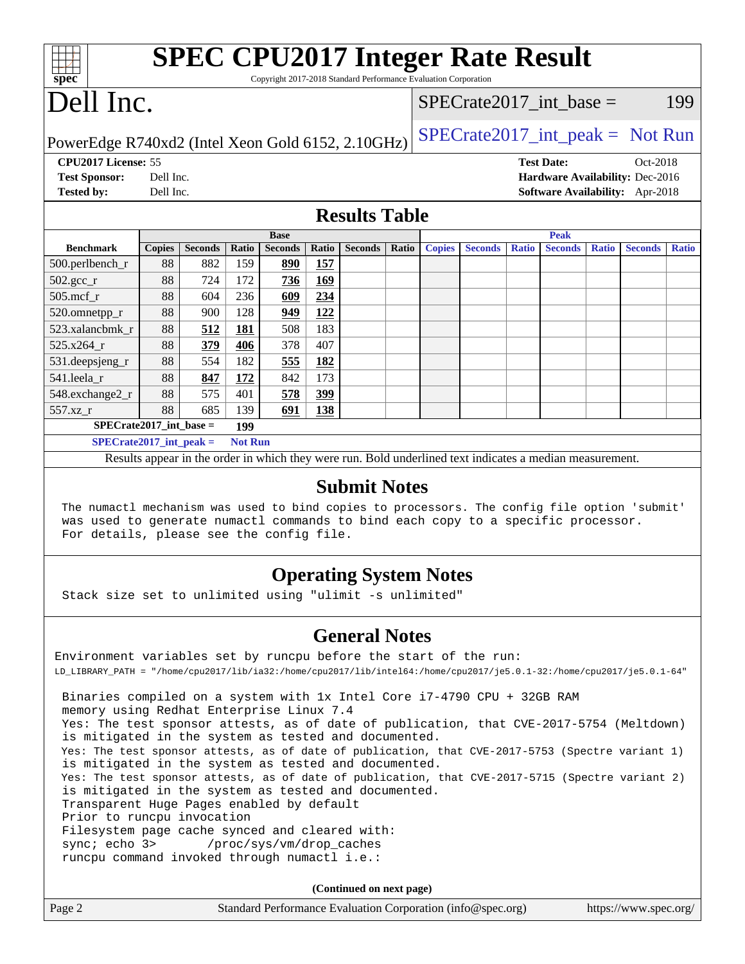| <b>SPEC CPU2017 Integer Rate Result</b><br>Copyright 2017-2018 Standard Performance Evaluation Corporation<br>spec                                                                         |                        |                                                                                                          |                |                |            |                      |       |               |                |              |                           |              |                                                                    |              |
|--------------------------------------------------------------------------------------------------------------------------------------------------------------------------------------------|------------------------|----------------------------------------------------------------------------------------------------------|----------------|----------------|------------|----------------------|-------|---------------|----------------|--------------|---------------------------|--------------|--------------------------------------------------------------------|--------------|
| Dell Inc.                                                                                                                                                                                  |                        |                                                                                                          |                |                |            |                      |       |               |                |              | SPECrate2017 int base $=$ |              |                                                                    | 199          |
|                                                                                                                                                                                            |                        |                                                                                                          |                |                |            |                      |       |               |                |              |                           |              | $SPECrate2017\_int\_peak = Not Run$                                |              |
| PowerEdge R740xd2 (Intel Xeon Gold 6152, 2.10GHz)                                                                                                                                          |                        |                                                                                                          |                |                |            |                      |       |               |                |              |                           |              |                                                                    |              |
| CPU2017 License: 55                                                                                                                                                                        |                        |                                                                                                          |                |                |            |                      |       |               |                |              | <b>Test Date:</b>         |              | Oct-2018                                                           |              |
| <b>Test Sponsor:</b><br><b>Tested by:</b>                                                                                                                                                  | Dell Inc.<br>Dell Inc. |                                                                                                          |                |                |            |                      |       |               |                |              |                           |              | Hardware Availability: Dec-2016<br>Software Availability: Apr-2018 |              |
|                                                                                                                                                                                            |                        |                                                                                                          |                |                |            |                      |       |               |                |              |                           |              |                                                                    |              |
|                                                                                                                                                                                            |                        |                                                                                                          |                |                |            | <b>Results Table</b> |       |               |                |              |                           |              |                                                                    |              |
|                                                                                                                                                                                            |                        |                                                                                                          |                | <b>Base</b>    |            |                      |       |               |                |              | <b>Peak</b>               |              |                                                                    |              |
| <b>Benchmark</b>                                                                                                                                                                           | <b>Copies</b>          | <b>Seconds</b>                                                                                           | Ratio          | <b>Seconds</b> | Ratio      | <b>Seconds</b>       | Ratio | <b>Copies</b> | <b>Seconds</b> | <b>Ratio</b> | <b>Seconds</b>            | <b>Ratio</b> | <b>Seconds</b>                                                     | <b>Ratio</b> |
| 500.perlbench_r                                                                                                                                                                            | 88                     | 882                                                                                                      | 159            | 890            | <b>157</b> |                      |       |               |                |              |                           |              |                                                                    |              |
| 502.gcc_r                                                                                                                                                                                  | 88                     | 724                                                                                                      | 172            | 736            | 169        |                      |       |               |                |              |                           |              |                                                                    |              |
| 505.mcf_r                                                                                                                                                                                  | 88                     | 604                                                                                                      | 236<br>128     | 609            | 234<br>122 |                      |       |               |                |              |                           |              |                                                                    |              |
| 520.omnetpp_r<br>523.xalancbmk r                                                                                                                                                           | 88<br>88               | 900<br>512                                                                                               | 181            | 949<br>508     | 183        |                      |       |               |                |              |                           |              |                                                                    |              |
| 525.x264 r                                                                                                                                                                                 | 88                     | 379                                                                                                      | 406            | 378            | 407        |                      |       |               |                |              |                           |              |                                                                    |              |
| 531.deepsjeng_r                                                                                                                                                                            | 88                     | 554                                                                                                      | 182            | 555            | 182        |                      |       |               |                |              |                           |              |                                                                    |              |
| 541.leela_r                                                                                                                                                                                | 88                     | 847                                                                                                      | 172            | 842            | 173        |                      |       |               |                |              |                           |              |                                                                    |              |
| 548.exchange2_r                                                                                                                                                                            | 88                     | 575                                                                                                      | 401            | 578            | 399        |                      |       |               |                |              |                           |              |                                                                    |              |
| 557.xz_r                                                                                                                                                                                   | 88                     | 685                                                                                                      | 139            | 691            | 138        |                      |       |               |                |              |                           |              |                                                                    |              |
| $SPECrate2017\_int\_base =$                                                                                                                                                                |                        |                                                                                                          | 199            |                |            |                      |       |               |                |              |                           |              |                                                                    |              |
| $SPECrate2017\_int\_peak =$                                                                                                                                                                |                        |                                                                                                          | <b>Not Run</b> |                |            |                      |       |               |                |              |                           |              |                                                                    |              |
|                                                                                                                                                                                            |                        | Results appear in the order in which they were run. Bold underlined text indicates a median measurement. |                |                |            |                      |       |               |                |              |                           |              |                                                                    |              |
| <b>Submit Notes</b><br>The numactl mechanism was used to bind copies to processors. The config file option 'submit'                                                                        |                        |                                                                                                          |                |                |            |                      |       |               |                |              |                           |              |                                                                    |              |
| was used to generate numactl commands to bind each copy to a specific processor.<br>For details, please see the config file.                                                               |                        |                                                                                                          |                |                |            |                      |       |               |                |              |                           |              |                                                                    |              |
| <b>Operating System Notes</b><br>Stack size set to unlimited using "ulimit -s unlimited"                                                                                                   |                        |                                                                                                          |                |                |            |                      |       |               |                |              |                           |              |                                                                    |              |
| <b>General Notes</b>                                                                                                                                                                       |                        |                                                                                                          |                |                |            |                      |       |               |                |              |                           |              |                                                                    |              |
| Environment variables set by runcpu before the start of the run:<br>LD_LIBRARY_PATH = "/home/cpu2017/1ib/ia32:/home/cpu2017/1ib/intel64:/home/cpu2017/je5.0.1-32:/home/cpu2017/je5.0.1-64" |                        |                                                                                                          |                |                |            |                      |       |               |                |              |                           |              |                                                                    |              |

 Binaries compiled on a system with 1x Intel Core i7-4790 CPU + 32GB RAM memory using Redhat Enterprise Linux 7.4 Yes: The test sponsor attests, as of date of publication, that CVE-2017-5754 (Meltdown) is mitigated in the system as tested and documented. Yes: The test sponsor attests, as of date of publication, that CVE-2017-5753 (Spectre variant 1) is mitigated in the system as tested and documented. Yes: The test sponsor attests, as of date of publication, that CVE-2017-5715 (Spectre variant 2) is mitigated in the system as tested and documented. Transparent Huge Pages enabled by default Prior to runcpu invocation Filesystem page cache synced and cleared with: sync; echo 3> /proc/sys/vm/drop\_caches runcpu command invoked through numactl i.e.:

**(Continued on next page)**

| Page 2 | Standard Performance Evaluation Corporation (info@spec.org) | https://www.spec.org/ |
|--------|-------------------------------------------------------------|-----------------------|
|--------|-------------------------------------------------------------|-----------------------|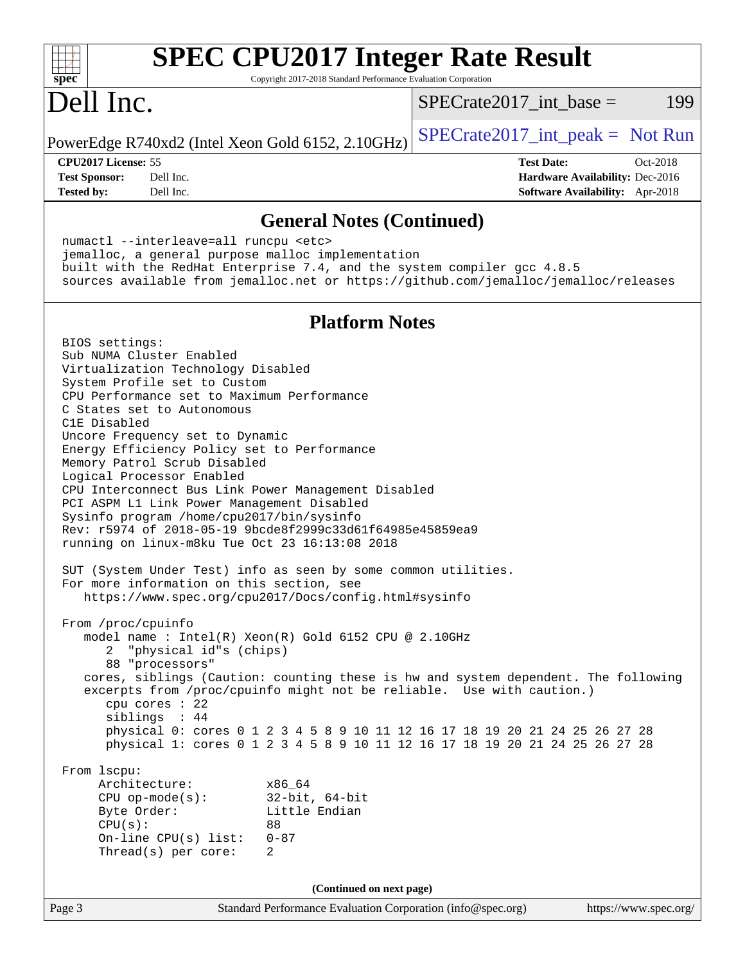| <b>SPEC CPU2017 Integer Rate Result</b><br>Copyright 2017-2018 Standard Performance Evaluation Corporation<br>$s\overline{p}$ ec®                                                                                                                                                                                                                                                                                                                                                                                                                                                                                                                                                                                                                                                                                                                                                  |                                                                                                     |
|------------------------------------------------------------------------------------------------------------------------------------------------------------------------------------------------------------------------------------------------------------------------------------------------------------------------------------------------------------------------------------------------------------------------------------------------------------------------------------------------------------------------------------------------------------------------------------------------------------------------------------------------------------------------------------------------------------------------------------------------------------------------------------------------------------------------------------------------------------------------------------|-----------------------------------------------------------------------------------------------------|
| Dell Inc.                                                                                                                                                                                                                                                                                                                                                                                                                                                                                                                                                                                                                                                                                                                                                                                                                                                                          | $SPECrate2017$ _int_base =<br>199                                                                   |
| PowerEdge R740xd2 (Intel Xeon Gold 6152, 2.10GHz)                                                                                                                                                                                                                                                                                                                                                                                                                                                                                                                                                                                                                                                                                                                                                                                                                                  | $SPECTate2017\_int\_peak = Not Run$                                                                 |
| CPU2017 License: 55<br><b>Test Sponsor:</b><br>Dell Inc.<br>Dell Inc.<br><b>Tested by:</b>                                                                                                                                                                                                                                                                                                                                                                                                                                                                                                                                                                                                                                                                                                                                                                                         | <b>Test Date:</b><br>Oct-2018<br>Hardware Availability: Dec-2016<br>Software Availability: Apr-2018 |
| <b>General Notes (Continued)</b>                                                                                                                                                                                                                                                                                                                                                                                                                                                                                                                                                                                                                                                                                                                                                                                                                                                   |                                                                                                     |
| numactl --interleave=all runcpu <etc><br/>jemalloc, a general purpose malloc implementation<br/>built with the RedHat Enterprise 7.4, and the system compiler gcc 4.8.5<br/>sources available from jemalloc.net or https://github.com/jemalloc/jemalloc/releases</etc>                                                                                                                                                                                                                                                                                                                                                                                                                                                                                                                                                                                                             |                                                                                                     |
| <b>Platform Notes</b>                                                                                                                                                                                                                                                                                                                                                                                                                                                                                                                                                                                                                                                                                                                                                                                                                                                              |                                                                                                     |
| BIOS settings:<br>Sub NUMA Cluster Enabled<br>Virtualization Technology Disabled<br>System Profile set to Custom<br>CPU Performance set to Maximum Performance<br>C States set to Autonomous<br>C1E Disabled<br>Uncore Frequency set to Dynamic<br>Energy Efficiency Policy set to Performance<br>Memory Patrol Scrub Disabled<br>Logical Processor Enabled<br>CPU Interconnect Bus Link Power Management Disabled<br>PCI ASPM L1 Link Power Management Disabled<br>Sysinfo program /home/cpu2017/bin/sysinfo<br>Rev: r5974 of 2018-05-19 9bcde8f2999c33d61f64985e45859ea9<br>running on linux-m8ku Tue Oct 23 16:13:08 2018<br>SUT (System Under Test) info as seen by some common utilities.<br>For more information on this section, see<br>https://www.spec.org/cpu2017/Docs/config.html#sysinfo<br>From /proc/cpuinfo<br>model name: Intel(R) Xeon(R) Gold 6152 CPU @ 2.10GHz |                                                                                                     |
| "physical id"s (chips)<br>2<br>88 "processors"<br>cores, siblings (Caution: counting these is hw and system dependent. The following<br>excerpts from /proc/cpuinfo might not be reliable. Use with caution.)<br>cpu cores : 22<br>siblings : 44<br>physical 0: cores 0 1 2 3 4 5 8 9 10 11 12 16 17 18 19 20 21 24 25 26 27 28<br>physical 1: cores 0 1 2 3 4 5 8 9 10 11 12 16 17 18 19 20 21 24 25 26 27 28                                                                                                                                                                                                                                                                                                                                                                                                                                                                     |                                                                                                     |
| From 1scpu:<br>Architecture:<br>x86_64<br>32-bit, 64-bit<br>$CPU$ op-mode(s):<br>Byte Order:<br>Little Endian<br>CPU(s):<br>88<br>On-line CPU(s) list: $0-87$<br>Thread(s) per core:<br>2                                                                                                                                                                                                                                                                                                                                                                                                                                                                                                                                                                                                                                                                                          |                                                                                                     |
| (Continued on next page)                                                                                                                                                                                                                                                                                                                                                                                                                                                                                                                                                                                                                                                                                                                                                                                                                                                           |                                                                                                     |
| Page 3<br>Standard Performance Evaluation Corporation (info@spec.org)                                                                                                                                                                                                                                                                                                                                                                                                                                                                                                                                                                                                                                                                                                                                                                                                              | https://www.spec.org/                                                                               |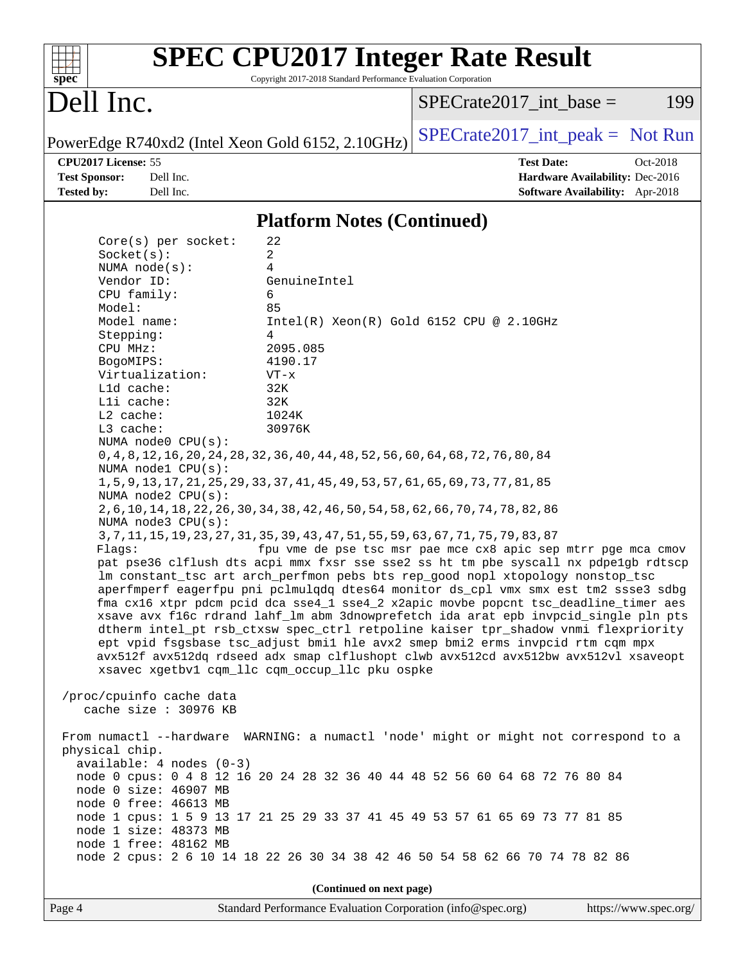| Spec                 |                            | <b>SPEC CPU2017 Integer Rate Result</b><br>Copyright 2017-2018 Standard Performance Evaluation Corporation |                                     |                       |
|----------------------|----------------------------|------------------------------------------------------------------------------------------------------------|-------------------------------------|-----------------------|
| Dell Inc.            |                            |                                                                                                            | $SPECrate2017\_int\_base =$         | 199                   |
|                      |                            | PowerEdge R740xd2 (Intel Xeon Gold 6152, 2.10GHz)                                                          | $SPECTate2017\_int\_peak = Not Run$ |                       |
| CPU2017 License: 55  |                            |                                                                                                            | <b>Test Date:</b>                   | Oct-2018              |
| <b>Test Sponsor:</b> | Dell Inc.                  |                                                                                                            | Hardware Availability: Dec-2016     |                       |
| <b>Tested by:</b>    | Dell Inc.                  |                                                                                                            | Software Availability: Apr-2018     |                       |
|                      |                            | <b>Platform Notes (Continued)</b>                                                                          |                                     |                       |
|                      | $Core(s)$ per socket:      | 22                                                                                                         |                                     |                       |
| Socket(s):           |                            | 2                                                                                                          |                                     |                       |
|                      | NUMA $node(s):$            | 4                                                                                                          |                                     |                       |
| Vendor ID:           |                            | GenuineIntel                                                                                               |                                     |                       |
| CPU family:          |                            | 6                                                                                                          |                                     |                       |
| Model:               |                            | 85                                                                                                         |                                     |                       |
| Model name:          |                            | $Intel(R) Xeon(R) Gold 6152 CPU @ 2.10GHz$                                                                 |                                     |                       |
| Stepping:            |                            | 4                                                                                                          |                                     |                       |
| CPU MHz:             |                            | 2095.085                                                                                                   |                                     |                       |
| BogoMIPS:            |                            | 4190.17<br>$VT - x$                                                                                        |                                     |                       |
| L1d cache:           | Virtualization:            | 32K                                                                                                        |                                     |                       |
| Lli cache:           |                            | 32K                                                                                                        |                                     |                       |
| L2 cache:            |                            | 1024K                                                                                                      |                                     |                       |
| L3 cache:            |                            | 30976K                                                                                                     |                                     |                       |
|                      | NUMA node0 CPU(s):         |                                                                                                            |                                     |                       |
|                      |                            | 0, 4, 8, 12, 16, 20, 24, 28, 32, 36, 40, 44, 48, 52, 56, 60, 64, 68, 72, 76, 80, 84                        |                                     |                       |
|                      | NUMA nodel CPU(s):         |                                                                                                            |                                     |                       |
|                      |                            | 1, 5, 9, 13, 17, 21, 25, 29, 33, 37, 41, 45, 49, 53, 57, 61, 65, 69, 73, 77, 81, 85                        |                                     |                       |
|                      | NUMA $node2$ $CPU(s):$     |                                                                                                            |                                     |                       |
|                      |                            | 2, 6, 10, 14, 18, 22, 26, 30, 34, 38, 42, 46, 50, 54, 58, 62, 66, 70, 74, 78, 82, 86                       |                                     |                       |
|                      | NUMA node3 CPU(s):         |                                                                                                            |                                     |                       |
|                      |                            | 3, 7, 11, 15, 19, 23, 27, 31, 35, 39, 43, 47, 51, 55, 59, 63, 67, 71, 75, 79, 83, 87                       |                                     |                       |
| Flags:               |                            | fpu vme de pse tsc msr pae mce cx8 apic sep mtrr pge mca cmov                                              |                                     |                       |
|                      |                            | pat pse36 clflush dts acpi mmx fxsr sse sse2 ss ht tm pbe syscall nx pdpelgb rdtscp                        |                                     |                       |
|                      |                            | lm constant_tsc art arch_perfmon pebs bts rep_good nopl xtopology nonstop_tsc                              |                                     |                       |
|                      |                            | aperfmperf eagerfpu pni pclmulqdq dtes64 monitor ds_cpl vmx smx est tm2 ssse3 sdbg                         |                                     |                       |
|                      |                            | fma cx16 xtpr pdcm pcid dca sse4_1 sse4_2 x2apic movbe popcnt tsc_deadline_timer aes                       |                                     |                       |
|                      |                            | xsave avx f16c rdrand lahf_lm abm 3dnowprefetch ida arat epb invpcid_single pln pts                        |                                     |                       |
|                      |                            | dtherm intel_pt rsb_ctxsw spec_ctrl retpoline kaiser tpr_shadow vnmi flexpriority                          |                                     |                       |
|                      |                            | ept vpid fsgsbase tsc_adjust bmil hle avx2 smep bmi2 erms invpcid rtm cqm mpx                              |                                     |                       |
|                      |                            | avx512f avx512dq rdseed adx smap clflushopt clwb avx512cd avx512bw avx512vl xsaveopt                       |                                     |                       |
|                      |                            | xsavec xgetbv1 cqm_llc cqm_occup_llc pku ospke                                                             |                                     |                       |
|                      | /proc/cpuinfo cache data   |                                                                                                            |                                     |                       |
|                      | cache size : 30976 KB      |                                                                                                            |                                     |                       |
|                      |                            |                                                                                                            |                                     |                       |
|                      |                            | From numactl --hardware WARNING: a numactl 'node' might or might not correspond to a                       |                                     |                       |
| physical chip.       |                            |                                                                                                            |                                     |                       |
|                      | $available: 4 nodes (0-3)$ |                                                                                                            |                                     |                       |
|                      |                            | node 0 cpus: 0 4 8 12 16 20 24 28 32 36 40 44 48 52 56 60 64 68 72 76 80 84                                |                                     |                       |
|                      | node 0 size: 46907 MB      |                                                                                                            |                                     |                       |
|                      | node 0 free: 46613 MB      |                                                                                                            |                                     |                       |
|                      |                            | node 1 cpus: 1 5 9 13 17 21 25 29 33 37 41 45 49 53 57 61 65 69 73 77 81 85                                |                                     |                       |
|                      | node 1 size: 48373 MB      |                                                                                                            |                                     |                       |
|                      | node 1 free: 48162 MB      |                                                                                                            |                                     |                       |
|                      |                            | node 2 cpus: 2 6 10 14 18 22 26 30 34 38 42 46 50 54 58 62 66 70 74 78 82 86                               |                                     |                       |
|                      |                            |                                                                                                            |                                     |                       |
|                      |                            | (Continued on next page)                                                                                   |                                     |                       |
| Page 4               |                            | Standard Performance Evaluation Corporation (info@spec.org)                                                |                                     | https://www.spec.org/ |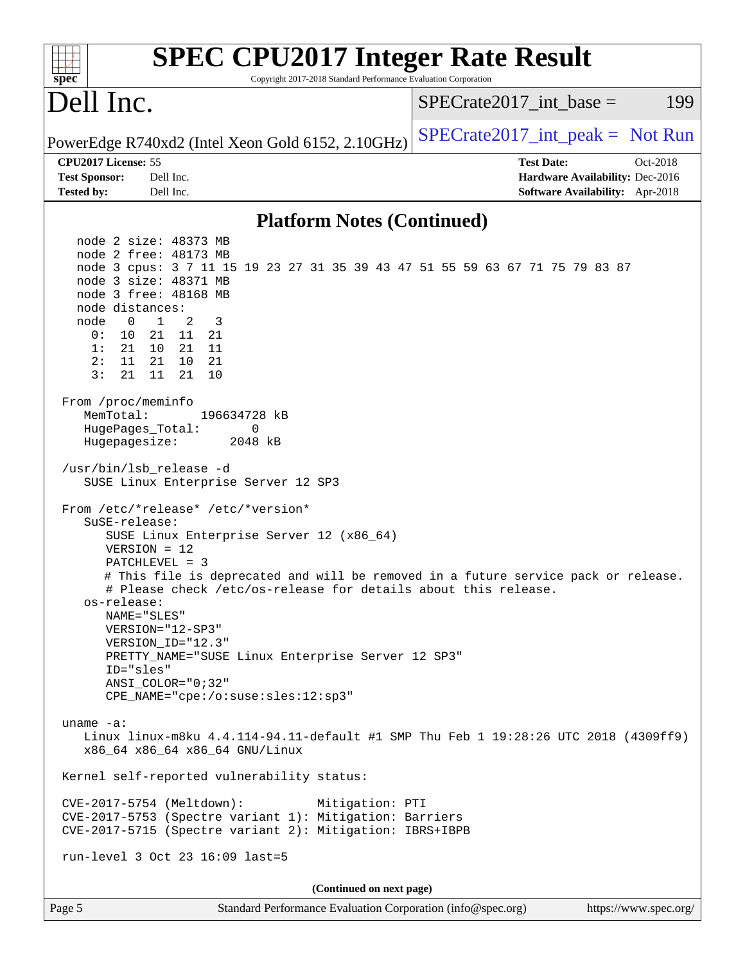| <b>SPEC CPU2017 Integer Rate Result</b><br>spec<br>Copyright 2017-2018 Standard Performance Evaluation Corporation                                                                                                                                                                                                                                                                                                                                                                                                                                                                                                                                                                                                                                                                                                                                                                                                                                                                                                                                                                                                                                                                                                                                                                                                                                                                                                                            |                                                                                                     |
|-----------------------------------------------------------------------------------------------------------------------------------------------------------------------------------------------------------------------------------------------------------------------------------------------------------------------------------------------------------------------------------------------------------------------------------------------------------------------------------------------------------------------------------------------------------------------------------------------------------------------------------------------------------------------------------------------------------------------------------------------------------------------------------------------------------------------------------------------------------------------------------------------------------------------------------------------------------------------------------------------------------------------------------------------------------------------------------------------------------------------------------------------------------------------------------------------------------------------------------------------------------------------------------------------------------------------------------------------------------------------------------------------------------------------------------------------|-----------------------------------------------------------------------------------------------------|
| Dell Inc.                                                                                                                                                                                                                                                                                                                                                                                                                                                                                                                                                                                                                                                                                                                                                                                                                                                                                                                                                                                                                                                                                                                                                                                                                                                                                                                                                                                                                                     | $SPECrate2017\_int\_base =$<br>199                                                                  |
| PowerEdge R740xd2 (Intel Xeon Gold 6152, 2.10GHz)                                                                                                                                                                                                                                                                                                                                                                                                                                                                                                                                                                                                                                                                                                                                                                                                                                                                                                                                                                                                                                                                                                                                                                                                                                                                                                                                                                                             | $SPECrate2017\_int\_peak = Not Run$                                                                 |
| CPU2017 License: 55<br><b>Test Sponsor:</b><br>Dell Inc.<br><b>Tested by:</b><br>Dell Inc.                                                                                                                                                                                                                                                                                                                                                                                                                                                                                                                                                                                                                                                                                                                                                                                                                                                                                                                                                                                                                                                                                                                                                                                                                                                                                                                                                    | <b>Test Date:</b><br>Oct-2018<br>Hardware Availability: Dec-2016<br>Software Availability: Apr-2018 |
| <b>Platform Notes (Continued)</b>                                                                                                                                                                                                                                                                                                                                                                                                                                                                                                                                                                                                                                                                                                                                                                                                                                                                                                                                                                                                                                                                                                                                                                                                                                                                                                                                                                                                             |                                                                                                     |
| node 2 size: 48373 MB<br>node 2 free: 48173 MB<br>node 3 cpus: 3 7 11 15 19 23 27 31 35 39 43 47 51 55 59 63 67 71 75 79 83 87<br>node 3 size: 48371 MB<br>node 3 free: 48168 MB<br>node distances:<br>$\mathbf{1}$<br>2<br>node<br>0<br>3<br>0:<br>10<br>21<br>11<br>21<br>1:<br>21<br>10<br>21 11<br>2:<br>21<br>10<br>11<br>21<br>3:<br>11<br>21<br>21<br>10<br>From /proc/meminfo<br>MemTotal:<br>196634728 kB<br>HugePages_Total:<br>0<br>Hugepagesize:<br>2048 kB<br>/usr/bin/lsb_release -d<br>SUSE Linux Enterprise Server 12 SP3<br>From /etc/*release* /etc/*version*<br>SuSE-release:<br>SUSE Linux Enterprise Server 12 (x86_64)<br>$VERSION = 12$<br>PATCHLEVEL = 3<br># This file is deprecated and will be removed in a future service pack or release.<br># Please check /etc/os-release for details about this release.<br>os-release:<br>NAME="SLES"<br>VERSION="12-SP3"<br>VERSION_ID="12.3"<br>PRETTY_NAME="SUSE Linux Enterprise Server 12 SP3"<br>ID="sles"<br>ANSI COLOR="0;32"<br>CPE_NAME="cpe:/o:suse:sles:12:sp3"<br>uname $-a$ :<br>Linux linux-m8ku 4.4.114-94.11-default #1 SMP Thu Feb 1 19:28:26 UTC 2018 (4309ff9)<br>x86_64 x86_64 x86_64 GNU/Linux<br>Kernel self-reported vulnerability status:<br>CVE-2017-5754 (Meltdown):<br>Mitigation: PTI<br>CVE-2017-5753 (Spectre variant 1): Mitigation: Barriers<br>CVE-2017-5715 (Spectre variant 2): Mitigation: IBRS+IBPB<br>run-level 3 Oct 23 16:09 last=5 |                                                                                                     |
| (Continued on next page)                                                                                                                                                                                                                                                                                                                                                                                                                                                                                                                                                                                                                                                                                                                                                                                                                                                                                                                                                                                                                                                                                                                                                                                                                                                                                                                                                                                                                      |                                                                                                     |
| Page 5<br>Standard Performance Evaluation Corporation (info@spec.org)                                                                                                                                                                                                                                                                                                                                                                                                                                                                                                                                                                                                                                                                                                                                                                                                                                                                                                                                                                                                                                                                                                                                                                                                                                                                                                                                                                         | https://www.spec.org/                                                                               |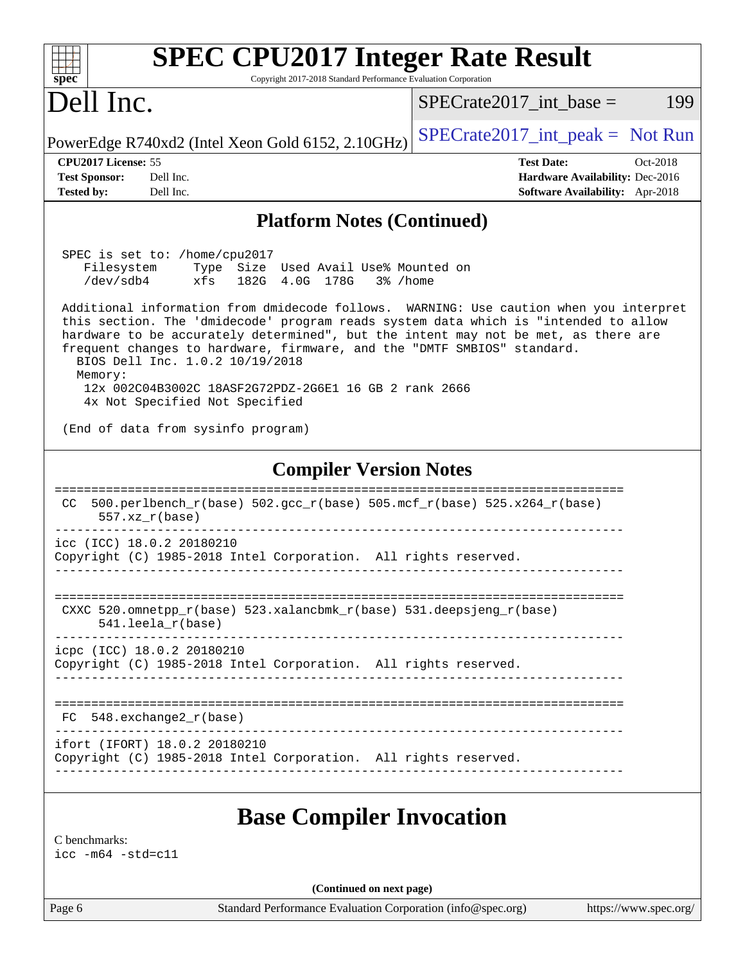| <b>SPEC CPU2017 Integer Rate Result</b>                                                                                                                                                                                                                                                                                                                                                               |                                                                                                     |  |  |  |
|-------------------------------------------------------------------------------------------------------------------------------------------------------------------------------------------------------------------------------------------------------------------------------------------------------------------------------------------------------------------------------------------------------|-----------------------------------------------------------------------------------------------------|--|--|--|
| spec<br>Copyright 2017-2018 Standard Performance Evaluation Corporation<br>Dell Inc.                                                                                                                                                                                                                                                                                                                  | 199<br>$SPECrate2017\_int\_base =$                                                                  |  |  |  |
| PowerEdge R740xd2 (Intel Xeon Gold 6152, 2.10GHz)                                                                                                                                                                                                                                                                                                                                                     | $SPECrate2017\_int\_peak = Not Run$                                                                 |  |  |  |
| CPU2017 License: 55<br><b>Test Sponsor:</b><br>Dell Inc.<br><b>Tested by:</b><br>Dell Inc.                                                                                                                                                                                                                                                                                                            | <b>Test Date:</b><br>Oct-2018<br>Hardware Availability: Dec-2016<br>Software Availability: Apr-2018 |  |  |  |
| <b>Platform Notes (Continued)</b>                                                                                                                                                                                                                                                                                                                                                                     |                                                                                                     |  |  |  |
| SPEC is set to: /home/cpu2017<br>Filesystem Type Size Used Avail Use% Mounted on<br>/dev/sdb4<br>xfs<br>182G 4.0G 178G 3%/home<br>Additional information from dmidecode follows. WARNING: Use caution when you interpret<br>this section. The 'dmidecode' program reads system data which is "intended to allow<br>hardware to be accurately determined", but the intent may not be met, as there are |                                                                                                     |  |  |  |
| frequent changes to hardware, firmware, and the "DMTF SMBIOS" standard.<br>BIOS Dell Inc. 1.0.2 10/19/2018<br>Memory:<br>12x 002C04B3002C 18ASF2G72PDZ-2G6E1 16 GB 2 rank 2666<br>4x Not Specified Not Specified                                                                                                                                                                                      |                                                                                                     |  |  |  |
| (End of data from sysinfo program)                                                                                                                                                                                                                                                                                                                                                                    |                                                                                                     |  |  |  |
| <b>Compiler Version Notes</b><br>500.perlbench_r(base) 502.gcc_r(base) 505.mcf_r(base) 525.x264_r(base)<br>CC.<br>$557. xz_r (base)$                                                                                                                                                                                                                                                                  |                                                                                                     |  |  |  |
| icc (ICC) 18.0.2 20180210<br>Copyright (C) 1985-2018 Intel Corporation. All rights reserved.                                                                                                                                                                                                                                                                                                          |                                                                                                     |  |  |  |
| CXXC 520.omnetpp_r(base) 523.xalancbmk_r(base) 531.deepsjeng_r(base)<br>$541.$ leela $r(base)$                                                                                                                                                                                                                                                                                                        |                                                                                                     |  |  |  |
| icpc (ICC) 18.0.2 20180210<br>Copyright (C) 1985-2018 Intel Corporation. All rights reserved.                                                                                                                                                                                                                                                                                                         |                                                                                                     |  |  |  |
| $FC 548. exchange2_r(base)$                                                                                                                                                                                                                                                                                                                                                                           |                                                                                                     |  |  |  |
| ifort (IFORT) 18.0.2 20180210<br>Copyright (C) 1985-2018 Intel Corporation. All rights reserved.                                                                                                                                                                                                                                                                                                      |                                                                                                     |  |  |  |
| <b>Base Compiler Invocation</b><br>C benchmarks:<br>$\text{icc}$ -m64 -std=c11                                                                                                                                                                                                                                                                                                                        |                                                                                                     |  |  |  |
| (Continued on next page)                                                                                                                                                                                                                                                                                                                                                                              |                                                                                                     |  |  |  |
| Standard Performance Evaluation Corporation (info@spec.org)<br>Page 6                                                                                                                                                                                                                                                                                                                                 | https://www.spec.org/                                                                               |  |  |  |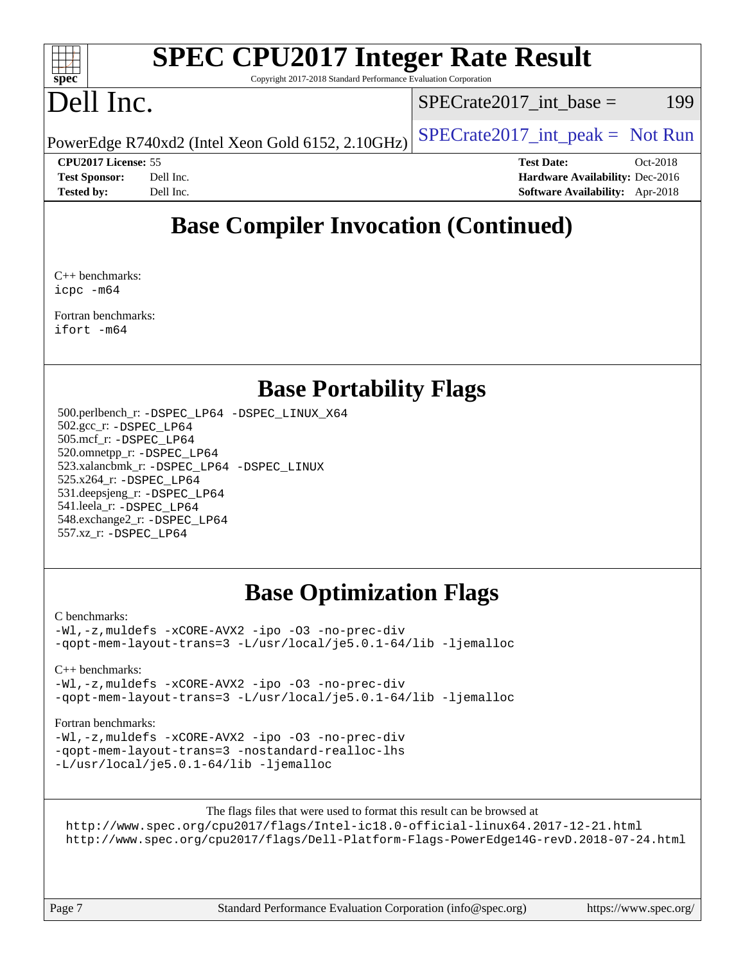#### $\pm\pm\prime$ **[spec](http://www.spec.org/)**

# **[SPEC CPU2017 Integer Rate Result](http://www.spec.org/auto/cpu2017/Docs/result-fields.html#SPECCPU2017IntegerRateResult)**

Copyright 2017-2018 Standard Performance Evaluation Corporation

## Dell Inc.

 $SPECTate2017\_int\_base = 199$ 

PowerEdge R740xd2 (Intel Xeon Gold 6152, 2.10GHz)  $\left|$  [SPECrate2017\\_int\\_peak =](http://www.spec.org/auto/cpu2017/Docs/result-fields.html#SPECrate2017intpeak) Not Run

**[CPU2017 License:](http://www.spec.org/auto/cpu2017/Docs/result-fields.html#CPU2017License)** 55 **[Test Date:](http://www.spec.org/auto/cpu2017/Docs/result-fields.html#TestDate)** Oct-2018 **[Test Sponsor:](http://www.spec.org/auto/cpu2017/Docs/result-fields.html#TestSponsor)** Dell Inc. **[Hardware Availability:](http://www.spec.org/auto/cpu2017/Docs/result-fields.html#HardwareAvailability)** Dec-2016 **[Tested by:](http://www.spec.org/auto/cpu2017/Docs/result-fields.html#Testedby)** Dell Inc. **[Software Availability:](http://www.spec.org/auto/cpu2017/Docs/result-fields.html#SoftwareAvailability)** Apr-2018

### **[Base Compiler Invocation \(Continued\)](http://www.spec.org/auto/cpu2017/Docs/result-fields.html#BaseCompilerInvocation)**

[C++ benchmarks](http://www.spec.org/auto/cpu2017/Docs/result-fields.html#CXXbenchmarks): [icpc -m64](http://www.spec.org/cpu2017/results/res2018q4/cpu2017-20181112-09541.flags.html#user_CXXbase_intel_icpc_64bit_4ecb2543ae3f1412ef961e0650ca070fec7b7afdcd6ed48761b84423119d1bf6bdf5cad15b44d48e7256388bc77273b966e5eb805aefd121eb22e9299b2ec9d9)

[Fortran benchmarks:](http://www.spec.org/auto/cpu2017/Docs/result-fields.html#Fortranbenchmarks) [ifort -m64](http://www.spec.org/cpu2017/results/res2018q4/cpu2017-20181112-09541.flags.html#user_FCbase_intel_ifort_64bit_24f2bb282fbaeffd6157abe4f878425411749daecae9a33200eee2bee2fe76f3b89351d69a8130dd5949958ce389cf37ff59a95e7a40d588e8d3a57e0c3fd751)

### **[Base Portability Flags](http://www.spec.org/auto/cpu2017/Docs/result-fields.html#BasePortabilityFlags)**

 500.perlbench\_r: [-DSPEC\\_LP64](http://www.spec.org/cpu2017/results/res2018q4/cpu2017-20181112-09541.flags.html#b500.perlbench_r_basePORTABILITY_DSPEC_LP64) [-DSPEC\\_LINUX\\_X64](http://www.spec.org/cpu2017/results/res2018q4/cpu2017-20181112-09541.flags.html#b500.perlbench_r_baseCPORTABILITY_DSPEC_LINUX_X64) 502.gcc\_r: [-DSPEC\\_LP64](http://www.spec.org/cpu2017/results/res2018q4/cpu2017-20181112-09541.flags.html#suite_basePORTABILITY502_gcc_r_DSPEC_LP64) 505.mcf\_r: [-DSPEC\\_LP64](http://www.spec.org/cpu2017/results/res2018q4/cpu2017-20181112-09541.flags.html#suite_basePORTABILITY505_mcf_r_DSPEC_LP64) 520.omnetpp\_r: [-DSPEC\\_LP64](http://www.spec.org/cpu2017/results/res2018q4/cpu2017-20181112-09541.flags.html#suite_basePORTABILITY520_omnetpp_r_DSPEC_LP64) 523.xalancbmk\_r: [-DSPEC\\_LP64](http://www.spec.org/cpu2017/results/res2018q4/cpu2017-20181112-09541.flags.html#suite_basePORTABILITY523_xalancbmk_r_DSPEC_LP64) [-DSPEC\\_LINUX](http://www.spec.org/cpu2017/results/res2018q4/cpu2017-20181112-09541.flags.html#b523.xalancbmk_r_baseCXXPORTABILITY_DSPEC_LINUX) 525.x264\_r: [-DSPEC\\_LP64](http://www.spec.org/cpu2017/results/res2018q4/cpu2017-20181112-09541.flags.html#suite_basePORTABILITY525_x264_r_DSPEC_LP64) 531.deepsjeng\_r: [-DSPEC\\_LP64](http://www.spec.org/cpu2017/results/res2018q4/cpu2017-20181112-09541.flags.html#suite_basePORTABILITY531_deepsjeng_r_DSPEC_LP64) 541.leela\_r: [-DSPEC\\_LP64](http://www.spec.org/cpu2017/results/res2018q4/cpu2017-20181112-09541.flags.html#suite_basePORTABILITY541_leela_r_DSPEC_LP64) 548.exchange2\_r: [-DSPEC\\_LP64](http://www.spec.org/cpu2017/results/res2018q4/cpu2017-20181112-09541.flags.html#suite_basePORTABILITY548_exchange2_r_DSPEC_LP64) 557.xz\_r: [-DSPEC\\_LP64](http://www.spec.org/cpu2017/results/res2018q4/cpu2017-20181112-09541.flags.html#suite_basePORTABILITY557_xz_r_DSPEC_LP64)

### **[Base Optimization Flags](http://www.spec.org/auto/cpu2017/Docs/result-fields.html#BaseOptimizationFlags)**

#### [C benchmarks](http://www.spec.org/auto/cpu2017/Docs/result-fields.html#Cbenchmarks):

[-Wl,-z,muldefs](http://www.spec.org/cpu2017/results/res2018q4/cpu2017-20181112-09541.flags.html#user_CCbase_link_force_multiple1_b4cbdb97b34bdee9ceefcfe54f4c8ea74255f0b02a4b23e853cdb0e18eb4525ac79b5a88067c842dd0ee6996c24547a27a4b99331201badda8798ef8a743f577) [-xCORE-AVX2](http://www.spec.org/cpu2017/results/res2018q4/cpu2017-20181112-09541.flags.html#user_CCbase_f-xCORE-AVX2) [-ipo](http://www.spec.org/cpu2017/results/res2018q4/cpu2017-20181112-09541.flags.html#user_CCbase_f-ipo) [-O3](http://www.spec.org/cpu2017/results/res2018q4/cpu2017-20181112-09541.flags.html#user_CCbase_f-O3) [-no-prec-div](http://www.spec.org/cpu2017/results/res2018q4/cpu2017-20181112-09541.flags.html#user_CCbase_f-no-prec-div) [-qopt-mem-layout-trans=3](http://www.spec.org/cpu2017/results/res2018q4/cpu2017-20181112-09541.flags.html#user_CCbase_f-qopt-mem-layout-trans_de80db37974c74b1f0e20d883f0b675c88c3b01e9d123adea9b28688d64333345fb62bc4a798493513fdb68f60282f9a726aa07f478b2f7113531aecce732043) [-L/usr/local/je5.0.1-64/lib](http://www.spec.org/cpu2017/results/res2018q4/cpu2017-20181112-09541.flags.html#user_CCbase_jemalloc_link_path64_4b10a636b7bce113509b17f3bd0d6226c5fb2346b9178c2d0232c14f04ab830f976640479e5c33dc2bcbbdad86ecfb6634cbbd4418746f06f368b512fced5394) [-ljemalloc](http://www.spec.org/cpu2017/results/res2018q4/cpu2017-20181112-09541.flags.html#user_CCbase_jemalloc_link_lib_d1249b907c500fa1c0672f44f562e3d0f79738ae9e3c4a9c376d49f265a04b9c99b167ecedbf6711b3085be911c67ff61f150a17b3472be731631ba4d0471706)

#### [C++ benchmarks:](http://www.spec.org/auto/cpu2017/Docs/result-fields.html#CXXbenchmarks)

[-Wl,-z,muldefs](http://www.spec.org/cpu2017/results/res2018q4/cpu2017-20181112-09541.flags.html#user_CXXbase_link_force_multiple1_b4cbdb97b34bdee9ceefcfe54f4c8ea74255f0b02a4b23e853cdb0e18eb4525ac79b5a88067c842dd0ee6996c24547a27a4b99331201badda8798ef8a743f577) [-xCORE-AVX2](http://www.spec.org/cpu2017/results/res2018q4/cpu2017-20181112-09541.flags.html#user_CXXbase_f-xCORE-AVX2) [-ipo](http://www.spec.org/cpu2017/results/res2018q4/cpu2017-20181112-09541.flags.html#user_CXXbase_f-ipo) [-O3](http://www.spec.org/cpu2017/results/res2018q4/cpu2017-20181112-09541.flags.html#user_CXXbase_f-O3) [-no-prec-div](http://www.spec.org/cpu2017/results/res2018q4/cpu2017-20181112-09541.flags.html#user_CXXbase_f-no-prec-div) [-qopt-mem-layout-trans=3](http://www.spec.org/cpu2017/results/res2018q4/cpu2017-20181112-09541.flags.html#user_CXXbase_f-qopt-mem-layout-trans_de80db37974c74b1f0e20d883f0b675c88c3b01e9d123adea9b28688d64333345fb62bc4a798493513fdb68f60282f9a726aa07f478b2f7113531aecce732043) [-L/usr/local/je5.0.1-64/lib](http://www.spec.org/cpu2017/results/res2018q4/cpu2017-20181112-09541.flags.html#user_CXXbase_jemalloc_link_path64_4b10a636b7bce113509b17f3bd0d6226c5fb2346b9178c2d0232c14f04ab830f976640479e5c33dc2bcbbdad86ecfb6634cbbd4418746f06f368b512fced5394) [-ljemalloc](http://www.spec.org/cpu2017/results/res2018q4/cpu2017-20181112-09541.flags.html#user_CXXbase_jemalloc_link_lib_d1249b907c500fa1c0672f44f562e3d0f79738ae9e3c4a9c376d49f265a04b9c99b167ecedbf6711b3085be911c67ff61f150a17b3472be731631ba4d0471706)

#### [Fortran benchmarks](http://www.spec.org/auto/cpu2017/Docs/result-fields.html#Fortranbenchmarks):

[-Wl,-z,muldefs](http://www.spec.org/cpu2017/results/res2018q4/cpu2017-20181112-09541.flags.html#user_FCbase_link_force_multiple1_b4cbdb97b34bdee9ceefcfe54f4c8ea74255f0b02a4b23e853cdb0e18eb4525ac79b5a88067c842dd0ee6996c24547a27a4b99331201badda8798ef8a743f577) [-xCORE-AVX2](http://www.spec.org/cpu2017/results/res2018q4/cpu2017-20181112-09541.flags.html#user_FCbase_f-xCORE-AVX2) [-ipo](http://www.spec.org/cpu2017/results/res2018q4/cpu2017-20181112-09541.flags.html#user_FCbase_f-ipo) [-O3](http://www.spec.org/cpu2017/results/res2018q4/cpu2017-20181112-09541.flags.html#user_FCbase_f-O3) [-no-prec-div](http://www.spec.org/cpu2017/results/res2018q4/cpu2017-20181112-09541.flags.html#user_FCbase_f-no-prec-div) [-qopt-mem-layout-trans=3](http://www.spec.org/cpu2017/results/res2018q4/cpu2017-20181112-09541.flags.html#user_FCbase_f-qopt-mem-layout-trans_de80db37974c74b1f0e20d883f0b675c88c3b01e9d123adea9b28688d64333345fb62bc4a798493513fdb68f60282f9a726aa07f478b2f7113531aecce732043) [-nostandard-realloc-lhs](http://www.spec.org/cpu2017/results/res2018q4/cpu2017-20181112-09541.flags.html#user_FCbase_f_2003_std_realloc_82b4557e90729c0f113870c07e44d33d6f5a304b4f63d4c15d2d0f1fab99f5daaed73bdb9275d9ae411527f28b936061aa8b9c8f2d63842963b95c9dd6426b8a) [-L/usr/local/je5.0.1-64/lib](http://www.spec.org/cpu2017/results/res2018q4/cpu2017-20181112-09541.flags.html#user_FCbase_jemalloc_link_path64_4b10a636b7bce113509b17f3bd0d6226c5fb2346b9178c2d0232c14f04ab830f976640479e5c33dc2bcbbdad86ecfb6634cbbd4418746f06f368b512fced5394) [-ljemalloc](http://www.spec.org/cpu2017/results/res2018q4/cpu2017-20181112-09541.flags.html#user_FCbase_jemalloc_link_lib_d1249b907c500fa1c0672f44f562e3d0f79738ae9e3c4a9c376d49f265a04b9c99b167ecedbf6711b3085be911c67ff61f150a17b3472be731631ba4d0471706)

The flags files that were used to format this result can be browsed at

<http://www.spec.org/cpu2017/flags/Intel-ic18.0-official-linux64.2017-12-21.html> <http://www.spec.org/cpu2017/flags/Dell-Platform-Flags-PowerEdge14G-revD.2018-07-24.html>